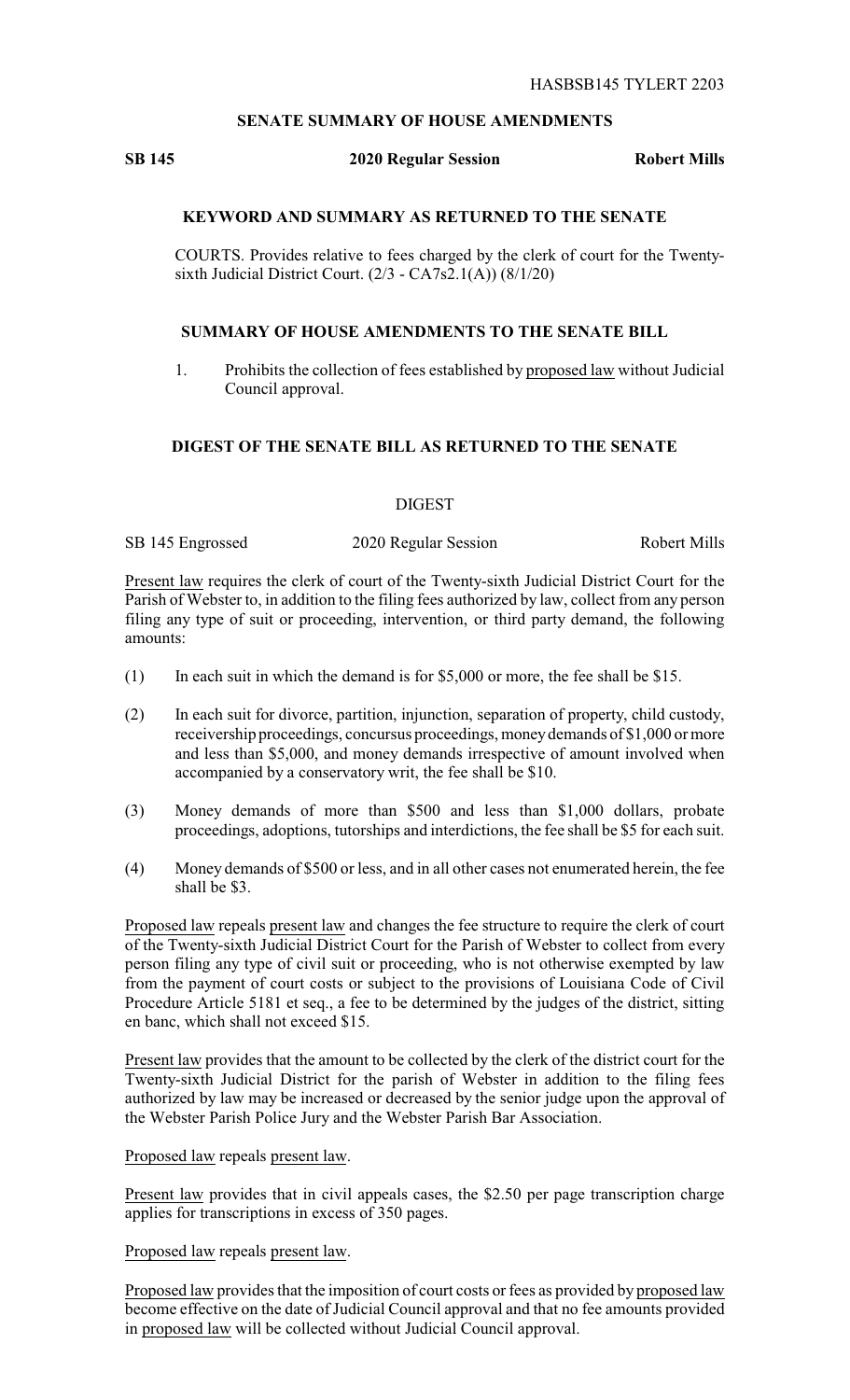## **SENATE SUMMARY OF HOUSE AMENDMENTS**

### **SB 145 2020 Regular Session Robert Mills**

# **KEYWORD AND SUMMARY AS RETURNED TO THE SENATE**

COURTS. Provides relative to fees charged by the clerk of court for the Twentysixth Judicial District Court. (2/3 - CA7s2.1(A)) (8/1/20)

#### **SUMMARY OF HOUSE AMENDMENTS TO THE SENATE BILL**

1. Prohibits the collection of fees established by proposed law without Judicial Council approval.

# **DIGEST OF THE SENATE BILL AS RETURNED TO THE SENATE**

### DIGEST

SB 145 Engrossed 2020 Regular Session Robert Mills

Present law requires the clerk of court of the Twenty-sixth Judicial District Court for the Parish of Webster to, in addition to the filing fees authorized by law, collect from any person filing any type of suit or proceeding, intervention, or third party demand, the following amounts:

- (1) In each suit in which the demand is for \$5,000 or more, the fee shall be \$15.
- (2) In each suit for divorce, partition, injunction, separation of property, child custody, receivership proceedings, concursus proceedings, moneydemands of \$1,000 or more and less than \$5,000, and money demands irrespective of amount involved when accompanied by a conservatory writ, the fee shall be \$10.
- (3) Money demands of more than \$500 and less than \$1,000 dollars, probate proceedings, adoptions, tutorships and interdictions, the fee shall be \$5 for each suit.
- (4) Money demands of \$500 or less, and in all other cases not enumerated herein, the fee shall be \$3.

Proposed law repeals present law and changes the fee structure to require the clerk of court of the Twenty-sixth Judicial District Court for the Parish of Webster to collect from every person filing any type of civil suit or proceeding, who is not otherwise exempted by law from the payment of court costs or subject to the provisions of Louisiana Code of Civil Procedure Article 5181 et seq., a fee to be determined by the judges of the district, sitting en banc, which shall not exceed \$15.

Present law provides that the amount to be collected by the clerk of the district court for the Twenty-sixth Judicial District for the parish of Webster in addition to the filing fees authorized by law may be increased or decreased by the senior judge upon the approval of the Webster Parish Police Jury and the Webster Parish Bar Association.

### Proposed law repeals present law.

Present law provides that in civil appeals cases, the \$2.50 per page transcription charge applies for transcriptions in excess of 350 pages.

Proposed law repeals present law.

Proposed law provides that the imposition of court costs or fees as provided by proposed law become effective on the date of Judicial Council approval and that no fee amounts provided in proposed law will be collected without Judicial Council approval.